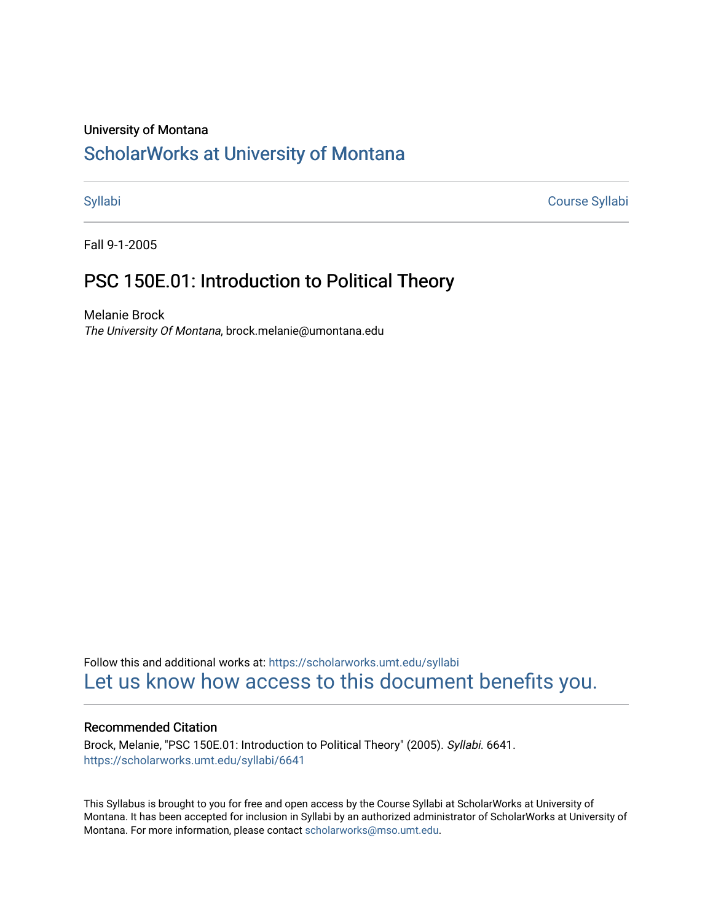### University of Montana

# [ScholarWorks at University of Montana](https://scholarworks.umt.edu/)

[Syllabi](https://scholarworks.umt.edu/syllabi) [Course Syllabi](https://scholarworks.umt.edu/course_syllabi) 

Fall 9-1-2005

# PSC 150E.01: Introduction to Political Theory

Melanie Brock The University Of Montana, brock.melanie@umontana.edu

Follow this and additional works at: [https://scholarworks.umt.edu/syllabi](https://scholarworks.umt.edu/syllabi?utm_source=scholarworks.umt.edu%2Fsyllabi%2F6641&utm_medium=PDF&utm_campaign=PDFCoverPages)  [Let us know how access to this document benefits you.](https://goo.gl/forms/s2rGfXOLzz71qgsB2) 

#### Recommended Citation

Brock, Melanie, "PSC 150E.01: Introduction to Political Theory" (2005). Syllabi. 6641. [https://scholarworks.umt.edu/syllabi/6641](https://scholarworks.umt.edu/syllabi/6641?utm_source=scholarworks.umt.edu%2Fsyllabi%2F6641&utm_medium=PDF&utm_campaign=PDFCoverPages)

This Syllabus is brought to you for free and open access by the Course Syllabi at ScholarWorks at University of Montana. It has been accepted for inclusion in Syllabi by an authorized administrator of ScholarWorks at University of Montana. For more information, please contact [scholarworks@mso.umt.edu.](mailto:scholarworks@mso.umt.edu)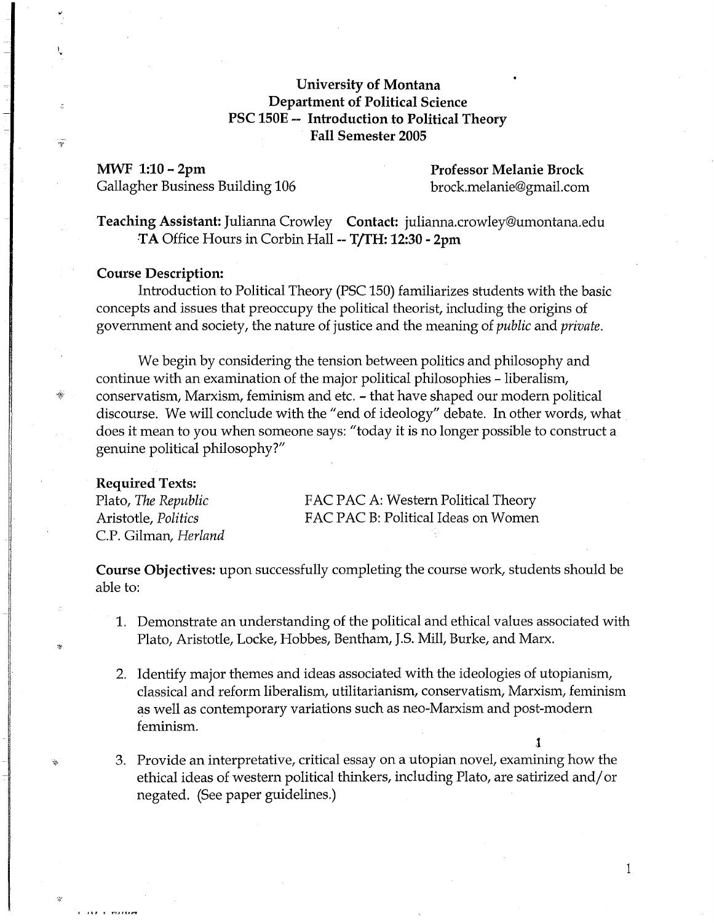# **University of Montana Department of Political Science PSC 150E -- Introduction .to Political Theory Fall Semester 2005**

**MWF 1:10 - 2pm Professor Melanie Brock** Gallagher Business Building 106 brock.melanie@gmail.com

**Teaching Assistant:** Julianna Crowley **Contact:** julianna.crowley@umontana.edu **TA** Office Hours in Corbin Hall -- **T/fH: 12:30 - 2pm** 

#### **Course Description:**

 $\frac{1}{2}$ 

Introduction to Political Theory (PSC 150) familiarizes students with the basic concepts and issues that preoccupy the political theorist, including the origins of government and society, the nature of justice and the meaning of *public* and *private.* 

We begin by considering the tension between politics and philosophy and continue with an examination of the major political philosophies - liberalism,  $*$  conservatism, Marxism, feminism and etc. - that have shaped our modern political discourse. We will conclude with the "end of ideology" debate. In other words, what does it mean to you when someone says: "today it is no longer possible to construct a genuine political philosophy?"

#### **Required Texts:**

 $1.111.0333337$ 

C.P. Gilman, *Herland* 

Plato, *The Republic* **FAC PAC A: Western Political Theory** Aristotle, *Politics*  FAC PAC B: Political Ideas on Women

**Course Objectives:** upon successfully completing the course work, students should be able to:

- 1. Demonstrate an understanding of the political and ethical values associated with Plato, Aristotle, Locke, Hobbes, Bentham, J.S. Mill, Burke, and Marx.
- 2. Identify major themes and ideas associated with the ideologies of utopianism, classical and reform liberalism, utilitarianism, conservatism, Marxism, feminism as well as contemporary variations such as neo-Marxism and post-modern feminism.
- 3. Provide an interpretative, critical essay on a utopian novel, examining how the ethical ideas of western political thinkers, including Plato, are satirized and/or negated. (See paper guidelines.)

1

l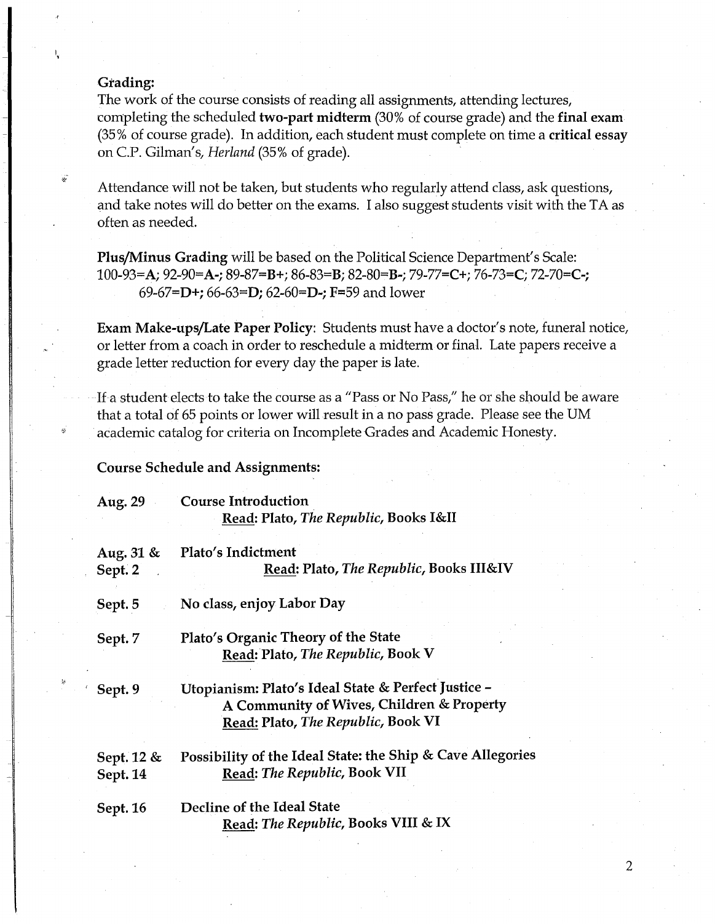## Grading:

1,

The work of the course consists of reading all assignments, attending lectures, completing the scheduled two-part midterm (30% of course grade) and the final exam (35% of course grade). In addition, each student must complete on time a critical essay on C.P. Gilman's, *Herland* (35% of grade).

Attendance will not be taken, but students who regularly attend class, ask questions, and take notes will do better on the exams. I also suggest students visit with the TA as often as needed.

Plus/Minus Grading will be based on the Political Science Department's Scale: 100-93=A; 92-90=A-; 89-87=B+; 86-83=B; 82-80=B-; 79-77=C+; 76-73=C; 72-70=C-; 69-67=D+; 66-63=D; 62-60=D-; F=59 and lower

Exam Make-ups/Late Paper Policy: Students must have a doctor's note, funeral notice, or letter from a coach in order to reschedule a midterm or final. Late papers receive a grade letter reduction for every day the paper is late.

If a student elects to take the course as a "Pass or No Pass," he or she should be aware that a total of 65 points or lower will result in a no pass grade. Please see the UM academic catalog for criteria on Incomplete Grades and Academic Honesty.

#### Course Schedule and Assignments:

| Aug. 29       | <b>Course Introduction</b>                                 |
|---------------|------------------------------------------------------------|
|               | Read: Plato, The Republic, Books I&II                      |
| Aug. $31 \&$  | Plato's Indictment                                         |
| Sept. 2       | Read: Plato, The Republic, Books III&IV                    |
| Sept. 5       | No class, enjoy Labor Day                                  |
| Sept. 7       | Plato's Organic Theory of the State                        |
|               | Read: Plato, The Republic, Book V                          |
| Sept. 9       | Utopianism: Plato's Ideal State & Perfect Justice -        |
|               | A Community of Wives, Children & Property                  |
|               | Read: Plato, The Republic, Book VI                         |
| Sept. $12 \&$ | Possibility of the Ideal State: the Ship & Cave Allegories |
| Sept. 14      | Read: The Republic, Book VII                               |
| Sept. 16      | Decline of the Ideal State                                 |
|               | Read: The Republic, Books VIII & IX                        |

2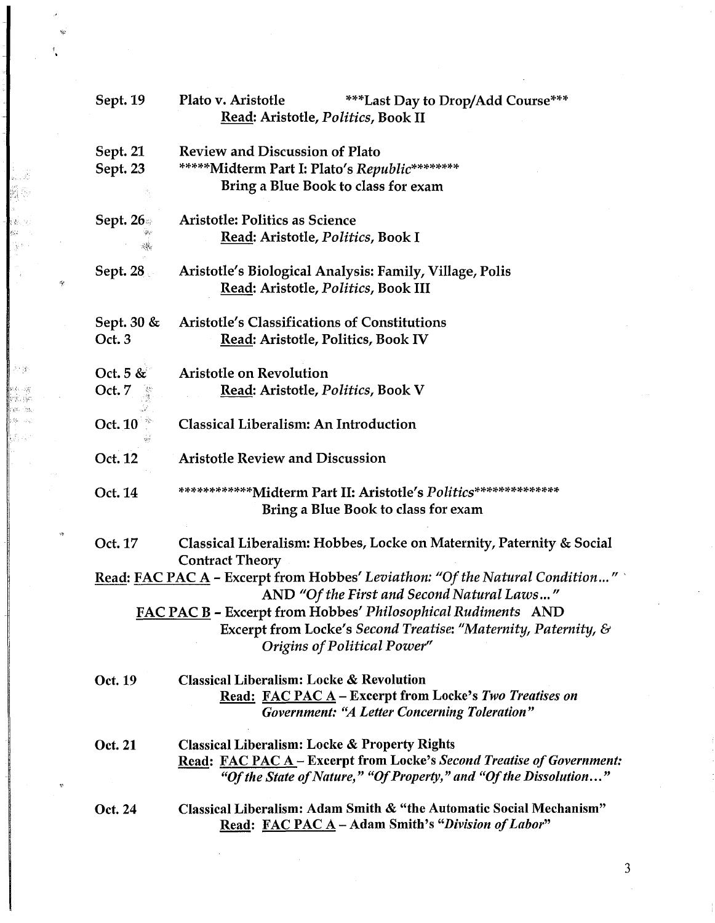| Sept. 19                                                                                                                                               | Plato v. Aristotle<br>***Last Day to Drop/Add Course***<br>Read: Aristotle, Politics, Book II                                                                                                          |  |
|--------------------------------------------------------------------------------------------------------------------------------------------------------|--------------------------------------------------------------------------------------------------------------------------------------------------------------------------------------------------------|--|
| Sept. 21<br>Sept. 23                                                                                                                                   | <b>Review and Discussion of Plato</b><br>*****Midterm Part I: Plato's Republic********<br><b>Bring a Blue Book to class for exam</b>                                                                   |  |
| <b>Sept. 26</b>                                                                                                                                        | <b>Aristotle: Politics as Science</b><br>Read: Aristotle, Politics, Book I                                                                                                                             |  |
| <b>Sept. 28</b>                                                                                                                                        | Aristotle's Biological Analysis: Family, Village, Polis<br>Read: Aristotle, Politics, Book III                                                                                                         |  |
| Sept. $30 \&$<br>Oct. 3                                                                                                                                | Aristotle's Classifications of Constitutions<br>Read: Aristotle, Politics, Book IV                                                                                                                     |  |
| Oct. 5 $\&$<br>Oct. 7                                                                                                                                  | <b>Aristotle on Revolution</b><br>Read: Aristotle, Politics, Book V                                                                                                                                    |  |
| Oct. 10                                                                                                                                                | <b>Classical Liberalism: An Introduction</b>                                                                                                                                                           |  |
| Oct. 12                                                                                                                                                | <b>Aristotle Review and Discussion</b>                                                                                                                                                                 |  |
| Oct. 14                                                                                                                                                | *************Midterm Part II: Aristotle's Politics***************<br>Bring a Blue Book to class for exam                                                                                               |  |
| Oct. 17                                                                                                                                                | Classical Liberalism: Hobbes, Locke on Maternity, Paternity & Social                                                                                                                                   |  |
| <b>Contract Theory</b><br>Read: FAC PAC $A$ – Excerpt from Hobbes' Leviathon: "Of the Natural Condition"<br>AND "Of the First and Second Natural Laws" |                                                                                                                                                                                                        |  |
|                                                                                                                                                        | FAC PAC B - Excerpt from Hobbes' Philosophical Rudiments AND<br>Excerpt from Locke's Second Treatise: "Maternity, Paternity, &<br><b>Origins of Political Power"</b>                                   |  |
| Oct. 19                                                                                                                                                | <b>Classical Liberalism: Locke &amp; Revolution</b><br>Read: FAC PAC A - Excerpt from Locke's Two Treatises on<br><b>Government: "A Letter Concerning Toleration"</b>                                  |  |
| Oct. 21                                                                                                                                                | <b>Classical Liberalism: Locke &amp; Property Rights</b><br>Read: FAC PAC A - Excerpt from Locke's Second Treatise of Government:<br>"Of the State of Nature," "Of Property," and "Of the Dissolution" |  |
| Oct. 24                                                                                                                                                | Classical Liberalism: Adam Smith & "the Automatic Social Mechanism"<br>Read: FAC PAC A - Adam Smith's "Division of Labor"                                                                              |  |

 $\hat{\theta}$  $\hat{\mathcal{H}}$  $\frac{1}{2}$  $\hat{\mathcal{A}}$ 

|<br>|<br>|

文 小学

 $\mathcal{A}^{\mathcal{A}}$ 

 $\ast$ 

 $\mathcal{L}$ 

 $\phi_{\tilde{p}}$ 

 $\gamma_i$ 

 $\mathcal{A}^{\mathcal{A}}$ 

3

 $\frac{1}{2}$ 

 $\hat{\mathcal{A}}$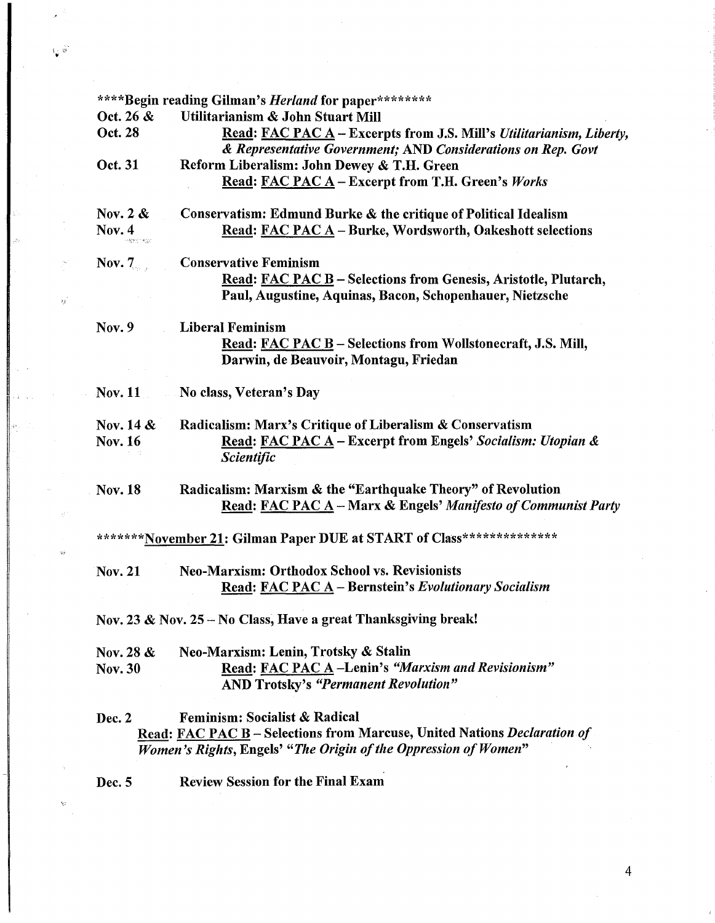|                                                                 | ****Begin reading Gilman's <i>Herland</i> for paper********                                                                                 |  |
|-----------------------------------------------------------------|---------------------------------------------------------------------------------------------------------------------------------------------|--|
| Oct. 26 &                                                       | Utilitarianism & John Stuart Mill                                                                                                           |  |
| Oct. 28                                                         | <b>Read: FAC PAC A – Excerpts from J.S. Mill's Utilitarianism, Liberty,</b><br>& Representative Government; AND Considerations on Rep. Govt |  |
| Oct. 31                                                         | Reform Liberalism: John Dewey & T.H. Green                                                                                                  |  |
|                                                                 | Read: FAC PAC A - Excerpt from T.H. Green's Works                                                                                           |  |
| Nov. $2 \&$                                                     | Conservatism: Edmund Burke & the critique of Political Idealism                                                                             |  |
| Nov. $4$<br>-same not                                           | Read: FAC PAC A - Burke, Wordsworth, Oakeshott selections                                                                                   |  |
| Nov. $7_{\circ}$ .                                              | <b>Conservative Feminism</b>                                                                                                                |  |
|                                                                 | Read: FAC PAC B - Selections from Genesis, Aristotle, Plutarch,                                                                             |  |
|                                                                 | Paul, Augustine, Aquinas, Bacon, Schopenhauer, Nietzsche                                                                                    |  |
| <b>Nov. 9</b>                                                   | <b>Liberal Feminism</b>                                                                                                                     |  |
|                                                                 | Read: FAC PAC B - Selections from Wollstonecraft, J.S. Mill,<br>Darwin, de Beauvoir, Montagu, Friedan                                       |  |
|                                                                 |                                                                                                                                             |  |
| <b>Nov. 11</b>                                                  | No class, Veteran's Day                                                                                                                     |  |
| Nov. $14 \&$                                                    | Radicalism: Marx's Critique of Liberalism & Conservatism                                                                                    |  |
| <b>Nov. 16</b>                                                  | Read: FAC PAC A – Excerpt from Engels' Socialism: Utopian &                                                                                 |  |
|                                                                 | <b>Scientific</b>                                                                                                                           |  |
| <b>Nov. 18</b>                                                  | Radicalism: Marxism & the "Earthquake Theory" of Revolution<br>Read: FAC PAC A - Marx & Engels' Manifesto of Communist Party                |  |
|                                                                 | *******November 21: Gilman Paper DUE at START of Class***************                                                                       |  |
| <b>Nov. 21</b>                                                  | <b>Neo-Marxism: Orthodox School vs. Revisionists</b>                                                                                        |  |
|                                                                 | Read: FAC PAC A - Bernstein's Evolutionary Socialism                                                                                        |  |
| Nov. 23 & Nov. 25 – No Class, Have a great Thanksgiving break!  |                                                                                                                                             |  |
| Nov. 28 &                                                       | Neo-Marxism: Lenin, Trotsky & Stalin                                                                                                        |  |
| <b>Nov. 30</b>                                                  | Read: FAC PAC A-Lenin's "Marxism and Revisionism"                                                                                           |  |
|                                                                 | <b>AND Trotsky's "Permanent Revolution"</b>                                                                                                 |  |
| Dec. 2                                                          | <b>Feminism: Socialist &amp; Radical</b>                                                                                                    |  |
|                                                                 | Read: FAC PAC B - Selections from Marcuse, United Nations Declaration of                                                                    |  |
| Women's Rights, Engels' "The Origin of the Oppression of Women" |                                                                                                                                             |  |
| Dec. 5                                                          | <b>Review Session for the Final Exam</b>                                                                                                    |  |
|                                                                 |                                                                                                                                             |  |
|                                                                 |                                                                                                                                             |  |

'⊭ \*\*<br>•

 $\epsilon_{\beta}$ 

Ŵ

4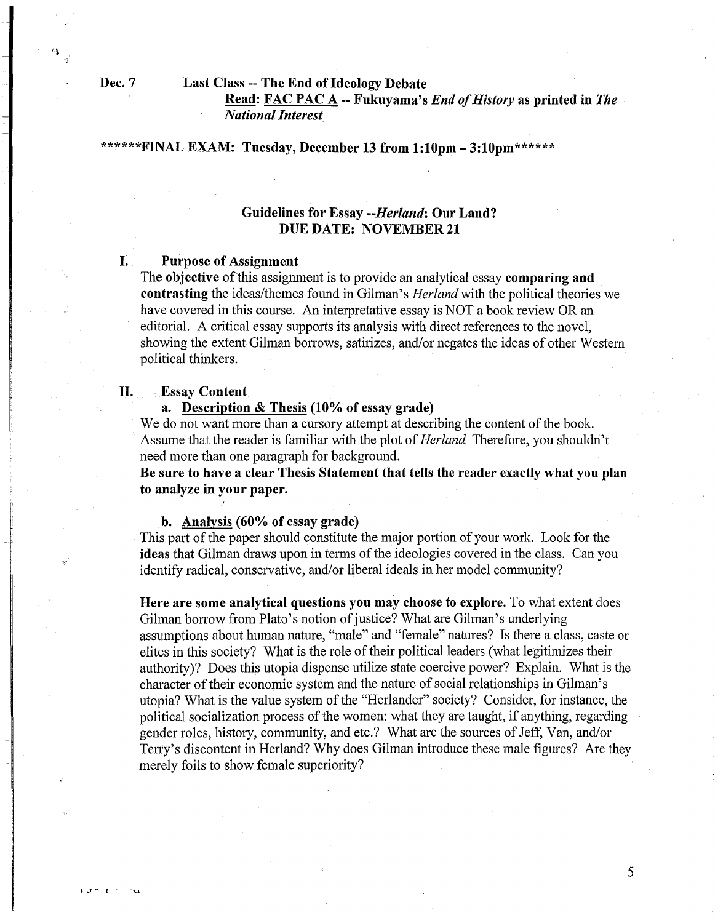$L \cdot J \cong -L$ 

#### Dec. 7 Last Class -- The End of Ideology Debate

Read: FAC PAC A--Fukuyama's *End ofHistory* as printed in *The National Interest* 

#### \*\*\*\*\*\* $\text{FINAL EXAMPLE:}$  Tuesday, December 13 from 1:10pm - 3:10pm \*\*\*\*\*\*

# Guidelines for Essay *--Herland:* Our Land? DUE DATE: NOVEMBER 21

### **I.** Purpose of Assignment

The objective of this assignment is to provide an analytical essay comparing and contrasting the ideas/themes found in Gilman's *Herland* with the political theories we have covered in this course. An interpretative essay is NOT a book review OR an editorial. A critical essay supports its analysis with direct references to the novel, showing the extent Gilman borrows, satirizes, and/or negates the ideas of other Western political thinkers.

#### II. Essay Content

a. Description & Thesis (10% of essay grade)

We do not want more than a cursory attempt at describing the content of the book. Assume that the reader is familiar with the plot of*Herland.* Therefore, you shouldn't need more than one paragraph for background.

Be sure to have a clear Thesis Statement that tells the reader exactly what you plan to analyze in your paper.

#### b. Analysis (60% of essay grade)

This part of the paper should constitute the major portion of your work. Look for the ideas that Gilman draws upon in terms of the ideologies covered in the class. Can you identify radical, conservative, and/or liberal ideals in her model community?

Here are some analytical questions you may choose to explore. To what extent does Gilman borrow from Plato's notion of justice? What are Gilman's underlying assumptions about human nature, "male" and "female" natures? Is there a class, caste or elites in this society? What is the role of their political leaders (what legitimizes their authority)? Does this utopia dispense utilize state coercive power? Explain. What is the character of their economic system and the nature of social relationships in Gilman's utopia? What is the value system of the "Herlander" society? Consider, for instance, the political socialization process of the women: what they are taught, if anything, regarding gender roles, history, community, and etc.? What are the sources of Jeff, Van, and/or Terry's discontent in Herland? Why does Gilman introduce these male figures? Are they merely foils to show female superiority?